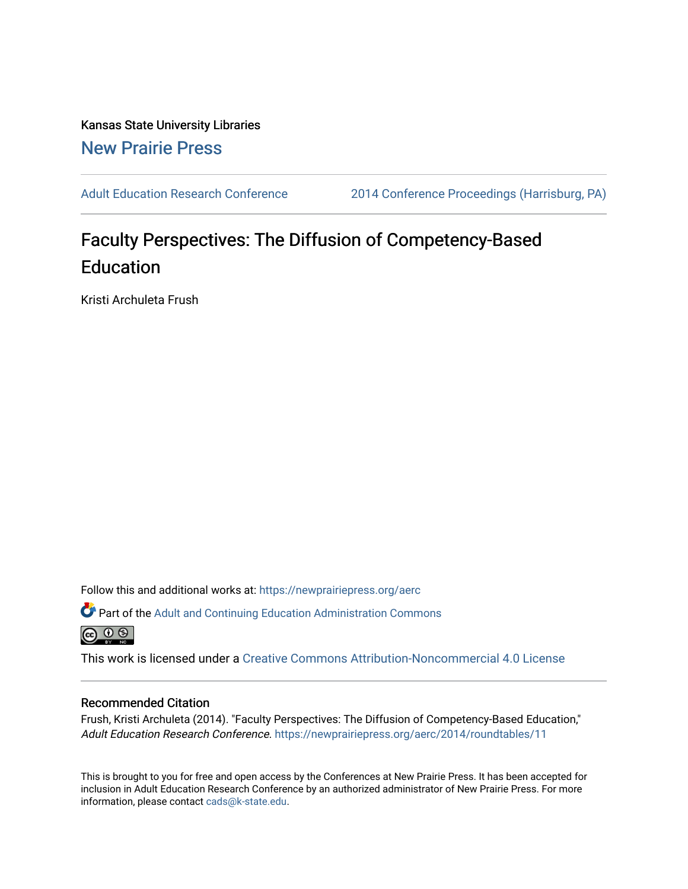Kansas State University Libraries [New Prairie Press](https://newprairiepress.org/) 

[Adult Education Research Conference](https://newprairiepress.org/aerc) [2014 Conference Proceedings \(Harrisburg, PA\)](https://newprairiepress.org/aerc/2014) 

# Faculty Perspectives: The Diffusion of Competency-Based **Education**

Kristi Archuleta Frush

Follow this and additional works at: [https://newprairiepress.org/aerc](https://newprairiepress.org/aerc?utm_source=newprairiepress.org%2Faerc%2F2014%2Froundtables%2F11&utm_medium=PDF&utm_campaign=PDFCoverPages)

Part of the [Adult and Continuing Education Administration Commons](http://network.bepress.com/hgg/discipline/789?utm_source=newprairiepress.org%2Faerc%2F2014%2Froundtables%2F11&utm_medium=PDF&utm_campaign=PDFCoverPages) <u>ெ ெ ⊜</u>

This work is licensed under a [Creative Commons Attribution-Noncommercial 4.0 License](https://creativecommons.org/licenses/by-nc/4.0/)

#### Recommended Citation

Frush, Kristi Archuleta (2014). "Faculty Perspectives: The Diffusion of Competency-Based Education," Adult Education Research Conference. <https://newprairiepress.org/aerc/2014/roundtables/11>

This is brought to you for free and open access by the Conferences at New Prairie Press. It has been accepted for inclusion in Adult Education Research Conference by an authorized administrator of New Prairie Press. For more information, please contact [cads@k-state.edu](mailto:cads@k-state.edu).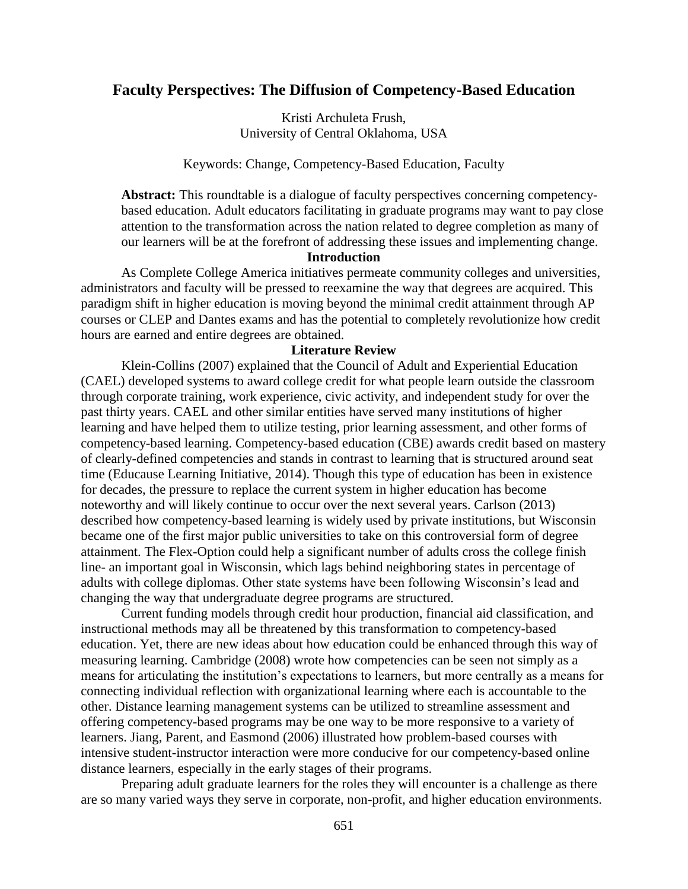# **Faculty Perspectives: The Diffusion of Competency-Based Education**

Kristi Archuleta Frush, University of Central Oklahoma, USA

Keywords: Change, Competency-Based Education, Faculty

**Abstract:** This roundtable is a dialogue of faculty perspectives concerning competencybased education. Adult educators facilitating in graduate programs may want to pay close attention to the transformation across the nation related to degree completion as many of our learners will be at the forefront of addressing these issues and implementing change.

#### **Introduction**

As Complete College America initiatives permeate community colleges and universities, administrators and faculty will be pressed to reexamine the way that degrees are acquired. This paradigm shift in higher education is moving beyond the minimal credit attainment through AP courses or CLEP and Dantes exams and has the potential to completely revolutionize how credit hours are earned and entire degrees are obtained.

#### **Literature Review**

Klein-Collins (2007) explained that the Council of Adult and Experiential Education (CAEL) developed systems to award college credit for what people learn outside the classroom through corporate training, work experience, civic activity, and independent study for over the past thirty years. CAEL and other similar entities have served many institutions of higher learning and have helped them to utilize testing, prior learning assessment, and other forms of competency-based learning. Competency-based education (CBE) awards credit based on mastery of clearly-defined competencies and stands in contrast to learning that is structured around seat time (Educause Learning Initiative, 2014). Though this type of education has been in existence for decades, the pressure to replace the current system in higher education has become noteworthy and will likely continue to occur over the next several years. Carlson (2013) described how competency-based learning is widely used by private institutions, but Wisconsin became one of the first major public universities to take on this controversial form of degree attainment. The Flex-Option could help a significant number of adults cross the college finish line- an important goal in Wisconsin, which lags behind neighboring states in percentage of adults with college diplomas. Other state systems have been following Wisconsin's lead and changing the way that undergraduate degree programs are structured.

Current funding models through credit hour production, financial aid classification, and instructional methods may all be threatened by this transformation to competency-based education. Yet, there are new ideas about how education could be enhanced through this way of measuring learning. Cambridge (2008) wrote how competencies can be seen not simply as a means for articulating the institution's expectations to learners, but more centrally as a means for connecting individual reflection with organizational learning where each is accountable to the other. Distance learning management systems can be utilized to streamline assessment and offering competency-based programs may be one way to be more responsive to a variety of learners. Jiang, Parent, and Easmond (2006) illustrated how problem-based courses with intensive student-instructor interaction were more conducive for our competency-based online distance learners, especially in the early stages of their programs.

Preparing adult graduate learners for the roles they will encounter is a challenge as there are so many varied ways they serve in corporate, non-profit, and higher education environments.